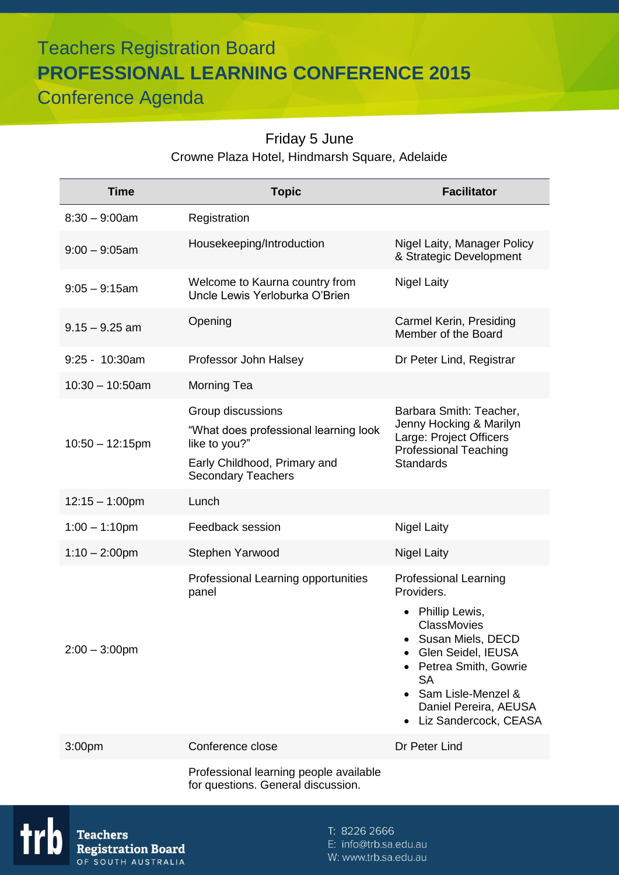# Teachers Registration Board **PROFESSIONAL LEARNING CONFERENCE 2015** Conference Agenda

# Friday 5 June Crowne Plaza Hotel, Hindmarsh Square, Adelaide

| <b>Time</b>        | <b>Topic</b>                                                                                                                             | <b>Facilitator</b>                                                                                                                                                                                                                           |
|--------------------|------------------------------------------------------------------------------------------------------------------------------------------|----------------------------------------------------------------------------------------------------------------------------------------------------------------------------------------------------------------------------------------------|
| $8:30 - 9:00$ am   | Registration                                                                                                                             |                                                                                                                                                                                                                                              |
| $9:00 - 9:05$ am   | Housekeeping/Introduction                                                                                                                | Nigel Laity, Manager Policy<br>& Strategic Development                                                                                                                                                                                       |
| $9:05 - 9:15$ am   | Welcome to Kaurna country from<br>Uncle Lewis Yerloburka O'Brien                                                                         | <b>Nigel Laity</b>                                                                                                                                                                                                                           |
| $9.15 - 9.25$ am   | Opening                                                                                                                                  | Carmel Kerin, Presiding<br>Member of the Board                                                                                                                                                                                               |
| 9:25 - 10:30am     | Professor John Halsey                                                                                                                    | Dr Peter Lind, Registrar                                                                                                                                                                                                                     |
| $10:30 - 10:50$ am | Morning Tea                                                                                                                              |                                                                                                                                                                                                                                              |
| $10:50 - 12:15$ pm | Group discussions<br>"What does professional learning look<br>like to you?"<br>Early Childhood, Primary and<br><b>Secondary Teachers</b> | Barbara Smith: Teacher,<br>Jenny Hocking & Marilyn<br>Large: Project Officers<br><b>Professional Teaching</b><br><b>Standards</b>                                                                                                            |
| $12:15 - 1:00$ pm  | Lunch                                                                                                                                    |                                                                                                                                                                                                                                              |
| $1:00 - 1:10$ pm   | Feedback session                                                                                                                         | <b>Nigel Laity</b>                                                                                                                                                                                                                           |
| $1:10 - 2:00$ pm   | Stephen Yarwood                                                                                                                          | <b>Nigel Laity</b>                                                                                                                                                                                                                           |
| $2:00 - 3:00$ pm   | Professional Learning opportunities<br>panel                                                                                             | <b>Professional Learning</b><br>Providers.<br>• Phillip Lewis,<br><b>ClassMovies</b><br>Susan Miels, DECD<br>Glen Seidel, IEUSA<br>Petrea Smith, Gowrie<br><b>SA</b><br>Sam Lisle-Menzel &<br>Daniel Pereira, AEUSA<br>Liz Sandercock, CEASA |
| 3:00pm             | Conference close                                                                                                                         | Dr Peter Lind                                                                                                                                                                                                                                |
|                    | Professional learning people available<br>for questions. General discussion.                                                             |                                                                                                                                                                                                                                              |

T: 8226 2666

E: info@trb.sa.edu.au

W: www.trb.sa.edu.au